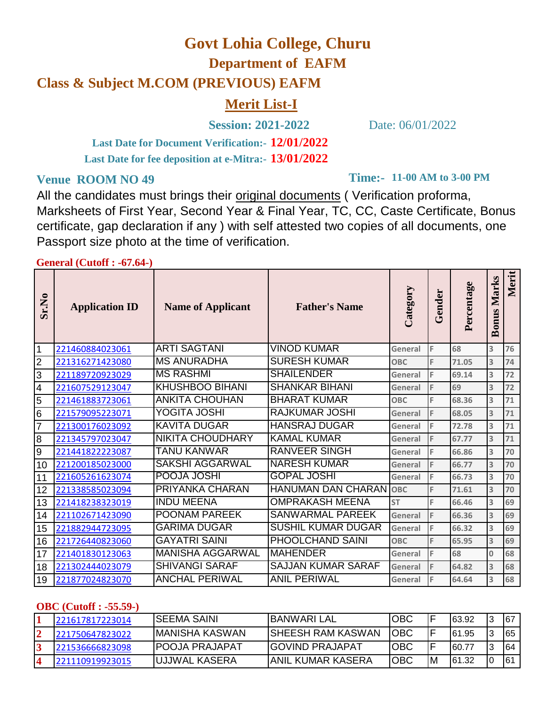# **Govt Lohia College, Churu**

**Department of EAFM**

## **Class & Subject M.COM (PREVIOUS) EAFM**

## **Merit List-I**

**Session: 2021-2022** Date: 06/01/2022

**12/01/2022 Last Date for Document Verification:- 13/01/2022 Last Date for fee deposition at e-Mitra:-**

All the candidates must brings their original documents ( Verification proforma, Marksheets of First Year, Second Year & Final Year, TC, CC, Caste Certificate, Bonus certificate, gap declaration if any ) with self attested two copies of all documents, one Passport size photo at the time of verification.

#### **General (Cutoff : -67.64-)**

| Sr.No          | <b>Application ID</b> | <b>Name of Applicant</b> | <b>Father's Name</b>      | Category   | Gender | Percentage | Marks<br><b>Bonus</b> | Merit |
|----------------|-----------------------|--------------------------|---------------------------|------------|--------|------------|-----------------------|-------|
| 1              | 221460884023061       | <b>ARTI SAGTANI</b>      | <b>VINOD KUMAR</b>        | General    | F      | 68         | 3                     | 76    |
| 2              | 221316271423080       | <b>MS ANURADHA</b>       | <b>SURESH KUMAR</b>       | <b>OBC</b> | F      | 71.05      | 3                     | 74    |
| 3              | 221189720923029       | <b>MS RASHMI</b>         | <b>SHAILENDER</b>         | General    | F      | 69.14      | 3                     | 72    |
| 4              | 221607529123047       | <b>KHUSHBOO BIHANI</b>   | <b>SHANKAR BIHANI</b>     | General    | F      | 69         | 3                     | 72    |
| 5              | 221461883723061       | <b>ANKITA CHOUHAN</b>    | <b>BHARAT KUMAR</b>       | <b>OBC</b> | F      | 68.36      | 3                     | 71    |
| 6              | 221579095223071       | <b>YOGITA JOSHI</b>      | <b>RAJKUMAR JOSHI</b>     | General    | F      | 68.05      | 3                     | 71    |
| $\overline{7}$ | 221300176023092       | <b>KAVITA DUGAR</b>      | <b>HANSRAJ DUGAR</b>      | General    | F      | 72.78      | 3                     | 71    |
| 8              | 221345797023047       | <b>NIKITA CHOUDHARY</b>  | <b>KAMAL KUMAR</b>        | General    | F      | 67.77      | 3                     | 71    |
| 9              | 221441822223087       | <b>TANU KANWAR</b>       | <b>RANVEER SINGH</b>      | General    | F      | 66.86      | 3                     | 70    |
| 10             | 221200185023000       | <b>SAKSHI AGGARWAL</b>   | <b>NARESH KUMAR</b>       | General    | F      | 66.77      | 3                     | 70    |
| 11             | 221605261623074       | POOJA JOSHI              | <b>GOPAL JOSHI</b>        | General    | F      | 66.73      | 3                     | 70    |
| 12             | 221338585023094       | PRIYANKA CHARAN          | <b>HANUMAN DAN CHARAN</b> | <b>OBC</b> | F      | 71.61      | 3                     | 70    |
| 13             | 221418238323019       | <b>INDU MEENA</b>        | <b>OMPRAKASH MEENA</b>    | <b>ST</b>  | F      | 66.46      | 3                     | 69    |
| 14             | 221102671423090       | <b>POONAM PAREEK</b>     | <b>SANWARMAL PAREEK</b>   | General    | F      | 66.36      | 3                     | 69    |
| 15             | 221882944723095       | <b>GARIMA DUGAR</b>      | <b>SUSHIL KUMAR DUGAR</b> | General    | F      | 66.32      | 3                     | 69    |
| 16             | 221726440823060       | <b>GAYATRI SAINI</b>     | PHOOLCHAND SAINI          | <b>OBC</b> | F      | 65.95      | 3                     | 69    |
| 17             | 221401830123063       | <b>MANISHA AGGARWAL</b>  | <b>MAHENDER</b>           | General    | E      | 68         | $\mathbf{0}$          | 68    |
| 18             | 221302444023079       | <b>SHIVANGI SARAF</b>    | <b>SAJJAN KUMAR SARAF</b> | General    | F      | 64.82      | 3                     | 68    |
| 19             | 221877024823070       | <b>ANCHAL PERIWAL</b>    | <b>ANIL PERIWAL</b>       | General    | F      | 64.64      | 3                     | 68    |

#### **OBC (Cutoff : -55.59-)**

| 221617817223014 | ISEEMA SAINI           | IBANWARI LAL              | <b>OBC</b> |    | 63.92  | I3 | 167 |
|-----------------|------------------------|---------------------------|------------|----|--------|----|-----|
| 221750647823022 | IMANISHA KASWAN        | <b>ISHEESH RAM KASWAN</b> | IOBC       |    | 161.95 | I3 | 165 |
| 221536666823098 | <b>IPOOJA PRAJAPAT</b> | <b>IGOVIND PRAJAPAT</b>   | OBC        |    | 60.77  | l3 | 164 |
| 221110919923015 | <b>JUJJWAL KASERA</b>  | IANIL KUMAR KASERA        | <b>OBC</b> | ١M | 61.32  | 10 | 6٬  |

## **11-00 AM to 3-00 PM**